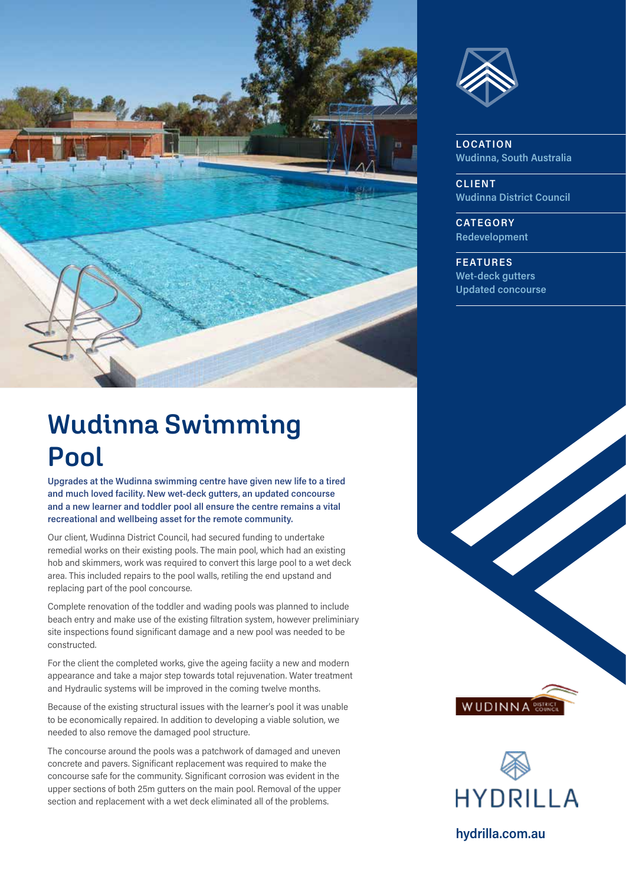



**LOCATION Wudinna, South Australia** 

**CLIENT Wudinna District Council** 

**CATEGORY Redevelopment** 

**FEATURES Wet-deck gutters Updated concourse**

## **Wudinna Swimming Pool**

**Upgrades at the Wudinna swimming centre have given new life to a tired and much loved facility. New wet-deck gutters, an updated concourse and a new learner and toddler pool all ensure the centre remains a vital recreational and wellbeing asset for the remote community.** 

Our client, Wudinna District Council, had secured funding to undertake remedial works on their existing pools. The main pool, which had an existing hob and skimmers, work was required to convert this large pool to a wet deck area. This included repairs to the pool walls, retiling the end upstand and replacing part of the pool concourse.

Complete renovation of the toddler and wading pools was planned to include beach entry and make use of the existing filtration system, however preliminiary site inspections found significant damage and a new pool was needed to be constructed.

For the client the completed works, give the ageing faciity a new and modern appearance and take a major step towards total rejuvenation. Water treatment and Hydraulic systems will be improved in the coming twelve months.

Because of the existing structural issues with the learner's pool it was unable to be economically repaired. In addition to developing a viable solution, we needed to also remove the damaged pool structure.

The concourse around the pools was a patchwork of damaged and uneven concrete and pavers. Significant replacement was required to make the concourse safe for the community. Significant corrosion was evident in the upper sections of both 25m gutters on the main pool. Removal of the upper section and replacement with a wet deck eliminated all of the problems.



**WUDINNA** 

**hydrilla.com.au**